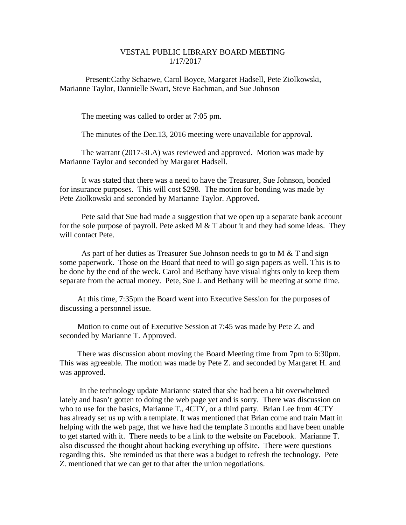## VESTAL PUBLIC LIBRARY BOARD MEETING 1/17/2017

Present:Cathy Schaewe, Carol Boyce, Margaret Hadsell, Pete Ziolkowski, Marianne Taylor, Dannielle Swart, Steve Bachman, and Sue Johnson

The meeting was called to order at 7:05 pm.

The minutes of the Dec.13, 2016 meeting were unavailable for approval.

The warrant (2017-3LA) was reviewed and approved. Motion was made by Marianne Taylor and seconded by Margaret Hadsell.

It was stated that there was a need to have the Treasurer, Sue Johnson, bonded for insurance purposes. This will cost \$298. The motion for bonding was made by Pete Ziolkowski and seconded by Marianne Taylor. Approved.

Pete said that Sue had made a suggestion that we open up a separate bank account for the sole purpose of payroll. Pete asked M  $&$  T about it and they had some ideas. They will contact Pete.

As part of her duties as Treasurer Sue Johnson needs to go to M & T and sign some paperwork. Those on the Board that need to will go sign papers as well. This is to be done by the end of the week. Carol and Bethany have visual rights only to keep them separate from the actual money. Pete, Sue J. and Bethany will be meeting at some time.

At this time, 7:35pm the Board went into Executive Session for the purposes of discussing a personnel issue.

Motion to come out of Executive Session at 7:45 was made by Pete Z. and seconded by Marianne T. Approved.

There was discussion about moving the Board Meeting time from 7pm to 6:30pm. This was agreeable. The motion was made by Pete Z. and seconded by Margaret H. and was approved.

In the technology update Marianne stated that she had been a bit overwhelmed lately and hasn't gotten to doing the web page yet and is sorry. There was discussion on who to use for the basics, Marianne T., 4CTY, or a third party. Brian Lee from 4CTY has already set us up with a template. It was mentioned that Brian come and train Matt in helping with the web page, that we have had the template 3 months and have been unable to get started with it. There needs to be a link to the website on Facebook. Marianne T. also discussed the thought about backing everything up offsite. There were questions regarding this. She reminded us that there was a budget to refresh the technology. Pete Z. mentioned that we can get to that after the union negotiations.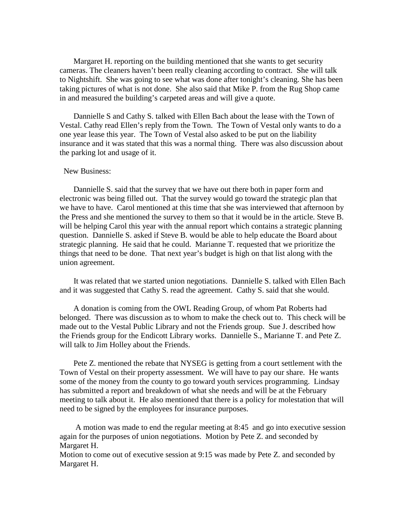Margaret H. reporting on the building mentioned that she wants to get security cameras. The cleaners haven't been really cleaning according to contract. She will talk to Nightshift. She was going to see what was done after tonight's cleaning. She has been taking pictures of what is not done. She also said that Mike P. from the Rug Shop came in and measured the building's carpeted areas and will give a quote.

Dannielle S and Cathy S. talked with Ellen Bach about the lease with the Town of Vestal. Cathy read Ellen's reply from the Town. The Town of Vestal only wants to do a one year lease this year. The Town of Vestal also asked to be put on the liability insurance and it was stated that this was a normal thing. There was also discussion about the parking lot and usage of it.

#### New Business:

Dannielle S. said that the survey that we have out there both in paper form and electronic was being filled out. That the survey would go toward the strategic plan that we have to have. Carol mentioned at this time that she was interviewed that afternoon by the Press and she mentioned the survey to them so that it would be in the article. Steve B. will be helping Carol this year with the annual report which contains a strategic planning question. Dannielle S. asked if Steve B. would be able to help educate the Board about strategic planning. He said that he could. Marianne T. requested that we prioritize the things that need to be done. That next year's budget is high on that list along with the union agreement.

It was related that we started union negotiations. Dannielle S. talked with Ellen Bach and it was suggested that Cathy S. read the agreement. Cathy S. said that she would.

A donation is coming from the OWL Reading Group, of whom Pat Roberts had belonged. There was discussion as to whom to make the check out to. This check will be made out to the Vestal Public Library and not the Friends group. Sue J. described how the Friends group for the Endicott Library works. Dannielle S., Marianne T. and Pete Z. will talk to Jim Holley about the Friends.

Pete Z. mentioned the rebate that NYSEG is getting from a court settlement with the Town of Vestal on their property assessment. We will have to pay our share. He wants some of the money from the county to go toward youth services programming. Lindsay has submitted a report and breakdown of what she needs and will be at the February meeting to talk about it. He also mentioned that there is a policy for molestation that will need to be signed by the employees for insurance purposes.

A motion was made to end the regular meeting at 8:45 and go into executive session again for the purposes of union negotiations. Motion by Pete Z. and seconded by Margaret H.

Motion to come out of executive session at 9:15 was made by Pete Z. and seconded by Margaret H.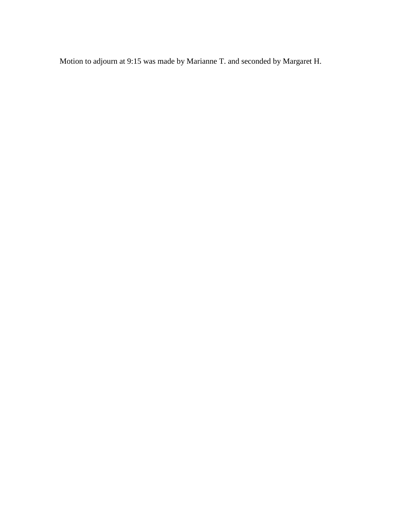Motion to adjourn at 9:15 was made by Marianne T. and seconded by Margaret H.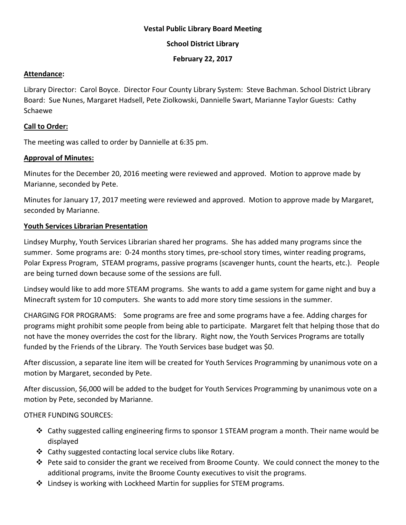## **Vestal Public Library Board Meeting**

## **School District Library**

#### **February 22, 2017**

#### **Attendance:**

Library Director: Carol Boyce. Director Four County Library System: Steve Bachman. School District Library Board: Sue Nunes, Margaret Hadsell, Pete Ziolkowski, Dannielle Swart, Marianne Taylor Guests: Cathy Schaewe

#### **Call to Order:**

The meeting was called to order by Dannielle at 6:35 pm.

### **Approval of Minutes:**

Minutes for the December 20, 2016 meeting were reviewed and approved. Motion to approve made by Marianne, seconded by Pete.

Minutes for January 17, 2017 meeting were reviewed and approved. Motion to approve made by Margaret, seconded by Marianne.

### **Youth Services Librarian Presentation**

Lindsey Murphy, Youth Services Librarian shared her programs. She has added many programs since the summer. Some programs are: 0-24 months story times, pre-school story times, winter reading programs, Polar Express Program, STEAM programs, passive programs (scavenger hunts, count the hearts, etc.). People are being turned down because some of the sessions are full.

Lindsey would like to add more STEAM programs. She wants to add a game system for game night and buy a Minecraft system for 10 computers. She wants to add more story time sessions in the summer.

CHARGING FOR PROGRAMS: Some programs are free and some programs have a fee. Adding charges for programs might prohibit some people from being able to participate. Margaret felt that helping those that do not have the money overrides the cost for the library. Right now, the Youth Services Programs are totally funded by the Friends of the Library. The Youth Services base budget was \$0.

After discussion, a separate line item will be created for Youth Services Programming by unanimous vote on a motion by Margaret, seconded by Pete.

After discussion, \$6,000 will be added to the budget for Youth Services Programming by unanimous vote on a motion by Pete, seconded by Marianne.

#### OTHER FUNDING SOURCES:

- Cathy suggested calling engineering firms to sponsor 1 STEAM program a month. Their name would be displayed
- Cathy suggested contacting local service clubs like Rotary.
- $\clubsuit$  Pete said to consider the grant we received from Broome County. We could connect the money to the additional programs, invite the Broome County executives to visit the programs.
- Lindsey is working with Lockheed Martin for supplies for STEM programs.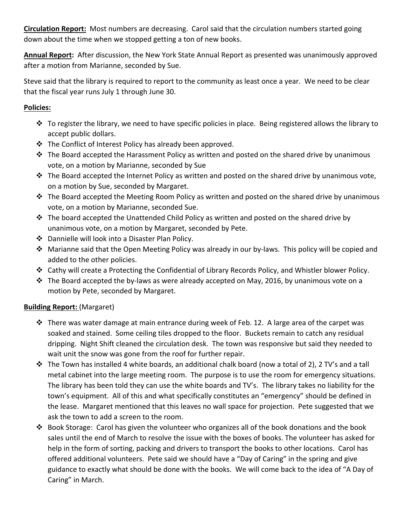**Circulation Report:** Most numbers are decreasing. Carol said that the circulation numbers started going down about the time when we stopped getting a ton of new books.

**Annual Report:** After discussion, the New York State Annual Report as presented was unanimously approved after a motion from Marianne, seconded by Sue.

Steve said that the library is required to report to the community as least once a year. We need to be clear that the fiscal year runs July 1 through June 30.

## **Policies:**

- To register the library, we need to have specific policies in place. Being registered allows the library to accept public dollars.
- $\cdot \cdot$  The Conflict of Interest Policy has already been approved.
- $\div$  The Board accepted the Harassment Policy as written and posted on the shared drive by unanimous vote, on a motion by Marianne, seconded by Sue
- $\cdot \cdot$  The Board accepted the Internet Policy as written and posted on the shared drive by unanimous vote, on a motion by Sue, seconded by Margaret.
- $\cdot$  The Board accepted the Meeting Room Policy as written and posted on the shared drive by unanimous vote, on a motion by Marianne, seconded Sue.
- $\cdot$  The board accepted the Unattended Child Policy as written and posted on the shared drive by unanimous vote, on a motion by Margaret, seconded by Pete.
- Dannielle will look into a Disaster Plan Policy.
- Marianne said that the Open Meeting Policy was already in our by-laws. This policy will be copied and added to the other policies.
- Cathy will create a Protecting the Confidential of Library Records Policy, and Whistler blower Policy.
- $\cdot \cdot$  The Board accepted the by-laws as were already accepted on May, 2016, by unanimous vote on a motion by Pete, seconded by Margaret.

# **Building Report:** (Margaret)

- $\div$  There was water damage at main entrance during week of Feb. 12. A large area of the carpet was soaked and stained. Some ceiling tiles dropped to the floor. Buckets remain to catch any residual dripping. Night Shift cleaned the circulation desk. The town was responsive but said they needed to wait unit the snow was gone from the roof for further repair.
- The Town has installed 4 white boards, an additional chalk board (now a total of 2), 2 TV's and a tall metal cabinet into the large meeting room. The purpose is to use the room for emergency situations. The library has been told they can use the white boards and TV's. The library takes no liability for the town's equipment. All of this and what specifically constitutes an "emergency" should be defined in the lease. Margaret mentioned that this leaves no wall space for projection. Pete suggested that we ask the town to add a screen to the room.
- $\clubsuit$  Book Storage: Carol has given the volunteer who organizes all of the book donations and the book sales until the end of March to resolve the issue with the boxes of books. The volunteer has asked for help in the form of sorting, packing and drivers to transport the books to other locations. Carol has offered additional volunteers. Pete said we should have a "Day of Caring" in the spring and give guidance to exactly what should be done with the books. We will come back to the idea of "A Day of Caring" in March.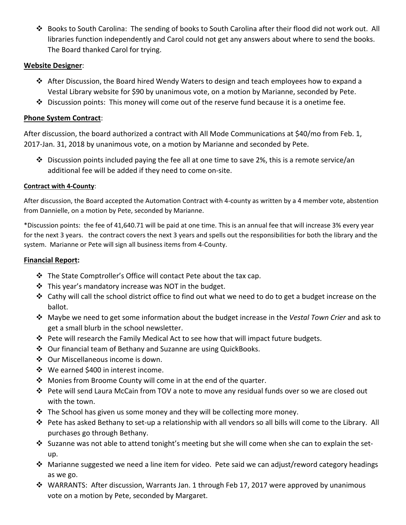Books to South Carolina: The sending of books to South Carolina after their flood did not work out. All libraries function independently and Carol could not get any answers about where to send the books. The Board thanked Carol for trying.

## **Website Designer**:

- $\triangle$  After Discussion, the Board hired Wendy Waters to design and teach employees how to expand a Vestal Library website for \$90 by unanimous vote, on a motion by Marianne, seconded by Pete.
- $\clubsuit$  Discussion points: This money will come out of the reserve fund because it is a onetime fee.

## **Phone System Contract**:

After discussion, the board authorized a contract with All Mode Communications at \$40/mo from Feb. 1, 2017-Jan. 31, 2018 by unanimous vote, on a motion by Marianne and seconded by Pete.

 $\cdot$  Discussion points included paying the fee all at one time to save 2%, this is a remote service/an additional fee will be added if they need to come on-site.

### **Contract with 4-County**:

After discussion, the Board accepted the Automation Contract with 4-county as written by a 4 member vote, abstention from Dannielle, on a motion by Pete, seconded by Marianne.

\*Discussion points: the fee of 41,640.71 will be paid at one time. This is an annual fee that will increase 3% every year for the next 3 years. the contract covers the next 3 years and spells out the responsibilities for both the library and the system. Marianne or Pete will sign all business items from 4-County.

## **Financial Report:**

- $\cdot$  The State Comptroller's Office will contact Pete about the tax cap.
- $\cdot$  This year's mandatory increase was NOT in the budget.
- $\div$  Cathy will call the school district office to find out what we need to do to get a budget increase on the ballot.
- Maybe we need to get some information about the budget increase in the *Vestal Town Crier* and ask to get a small blurb in the school newsletter.
- ❖ Pete will research the Family Medical Act to see how that will impact future budgets.
- Our financial team of Bethany and Suzanne are using QuickBooks.
- ❖ Our Miscellaneous income is down.
- ❖ We earned \$400 in interest income.
- ◆ Monies from Broome County will come in at the end of the quarter.
- $\clubsuit$  Pete will send Laura McCain from TOV a note to move any residual funds over so we are closed out with the town.
- $\cdot \cdot$  The School has given us some money and they will be collecting more money.
- Pete has asked Bethany to set-up a relationship with all vendors so all bills will come to the Library. All purchases go through Bethany.
- $\cdot$  Suzanne was not able to attend tonight's meeting but she will come when she can to explain the setup.
- Marianne suggested we need a line item for video. Pete said we can adjust/reword category headings as we go.
- WARRANTS: After discussion, Warrants Jan. 1 through Feb 17, 2017 were approved by unanimous vote on a motion by Pete, seconded by Margaret.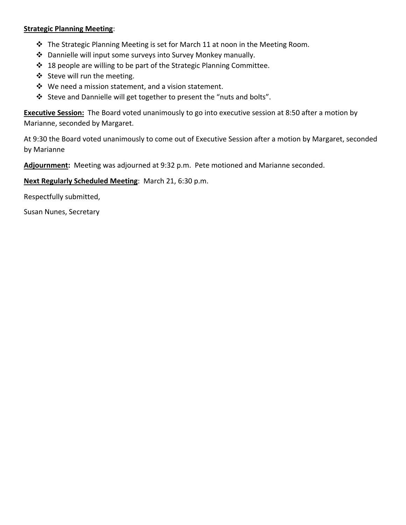## **Strategic Planning Meeting**:

- \* The Strategic Planning Meeting is set for March 11 at noon in the Meeting Room.
- Dannielle will input some surveys into Survey Monkey manually.
- ❖ 18 people are willing to be part of the Strategic Planning Committee.
- Steve will run the meeting.
- $\mathbf{\hat{P}}$  We need a mission statement, and a vision statement.
- Steve and Dannielle will get together to present the "nuts and bolts".

**Executive Session:** The Board voted unanimously to go into executive session at 8:50 after a motion by Marianne, seconded by Margaret.

At 9:30 the Board voted unanimously to come out of Executive Session after a motion by Margaret, seconded by Marianne

**Adjournment:** Meeting was adjourned at 9:32 p.m. Pete motioned and Marianne seconded.

**Next Regularly Scheduled Meeting**: March 21, 6:30 p.m.

Respectfully submitted,

Susan Nunes, Secretary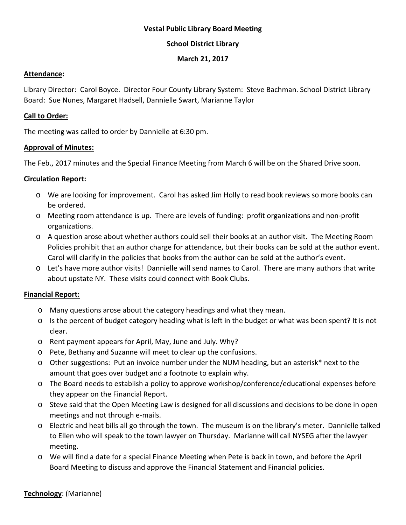## **Vestal Public Library Board Meeting**

## **School District Library**

### **March 21, 2017**

#### **Attendance:**

Library Director: Carol Boyce. Director Four County Library System: Steve Bachman. School District Library Board: Sue Nunes, Margaret Hadsell, Dannielle Swart, Marianne Taylor

#### **Call to Order:**

The meeting was called to order by Dannielle at 6:30 pm.

### **Approval of Minutes:**

The Feb., 2017 minutes and the Special Finance Meeting from March 6 will be on the Shared Drive soon.

## **Circulation Report:**

- o We are looking for improvement. Carol has asked Jim Holly to read book reviews so more books can be ordered.
- o Meeting room attendance is up. There are levels of funding: profit organizations and non-profit organizations.
- o A question arose about whether authors could sell their books at an author visit. The Meeting Room Policies prohibit that an author charge for attendance, but their books can be sold at the author event. Carol will clarify in the policies that books from the author can be sold at the author's event.
- o Let's have more author visits! Dannielle will send names to Carol. There are many authors that write about upstate NY. These visits could connect with Book Clubs.

## **Financial Report:**

- o Many questions arose about the category headings and what they mean.
- o Is the percent of budget category heading what is left in the budget or what was been spent? It is not clear.
- o Rent payment appears for April, May, June and July. Why?
- o Pete, Bethany and Suzanne will meet to clear up the confusions.
- o Other suggestions: Put an invoice number under the NUM heading, but an asterisk\* next to the amount that goes over budget and a footnote to explain why.
- o The Board needs to establish a policy to approve workshop/conference/educational expenses before they appear on the Financial Report.
- o Steve said that the Open Meeting Law is designed for all discussions and decisions to be done in open meetings and not through e-mails.
- o Electric and heat bills all go through the town. The museum is on the library's meter. Dannielle talked to Ellen who will speak to the town lawyer on Thursday. Marianne will call NYSEG after the lawyer meeting.
- o We will find a date for a special Finance Meeting when Pete is back in town, and before the April Board Meeting to discuss and approve the Financial Statement and Financial policies.

## **Technology**: (Marianne)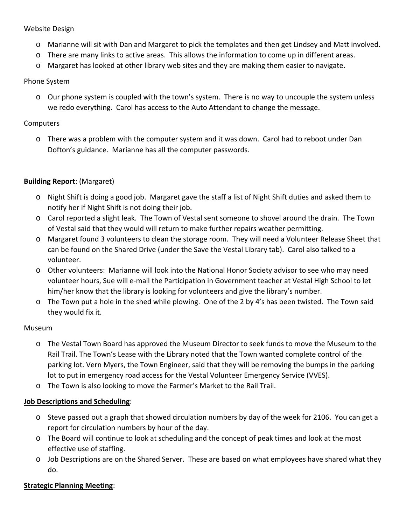## Website Design

- o Marianne will sit with Dan and Margaret to pick the templates and then get Lindsey and Matt involved.
- o There are many links to active areas. This allows the information to come up in different areas.
- o Margaret has looked at other library web sites and they are making them easier to navigate.

## Phone System

o Our phone system is coupled with the town's system. There is no way to uncouple the system unless we redo everything. Carol has access to the Auto Attendant to change the message.

### **Computers**

o There was a problem with the computer system and it was down. Carol had to reboot under Dan Dofton's guidance. Marianne has all the computer passwords.

## **Building Report**: (Margaret)

- o Night Shift is doing a good job. Margaret gave the staff a list of Night Shift duties and asked them to notify her if Night Shift is not doing their job.
- o Carol reported a slight leak. The Town of Vestal sent someone to shovel around the drain. The Town of Vestal said that they would will return to make further repairs weather permitting.
- o Margaret found 3 volunteers to clean the storage room. They will need a Volunteer Release Sheet that can be found on the Shared Drive (under the Save the Vestal Library tab). Carol also talked to a volunteer.
- o Other volunteers: Marianne will look into the National Honor Society advisor to see who may need volunteer hours, Sue will e-mail the Participation in Government teacher at Vestal High School to let him/her know that the library is looking for volunteers and give the library's number.
- o The Town put a hole in the shed while plowing. One of the 2 by 4's has been twisted. The Town said they would fix it.

#### Museum

- o The Vestal Town Board has approved the Museum Director to seek funds to move the Museum to the Rail Trail. The Town's Lease with the Library noted that the Town wanted complete control of the parking lot. Vern Myers, the Town Engineer, said that they will be removing the bumps in the parking lot to put in emergency road access for the Vestal Volunteer Emergency Service (VVES).
- o The Town is also looking to move the Farmer's Market to the Rail Trail.

## **Job Descriptions and Scheduling**:

- o Steve passed out a graph that showed circulation numbers by day of the week for 2106. You can get a report for circulation numbers by hour of the day.
- o The Board will continue to look at scheduling and the concept of peak times and look at the most effective use of staffing.
- o Job Descriptions are on the Shared Server. These are based on what employees have shared what they do.

## **Strategic Planning Meeting**: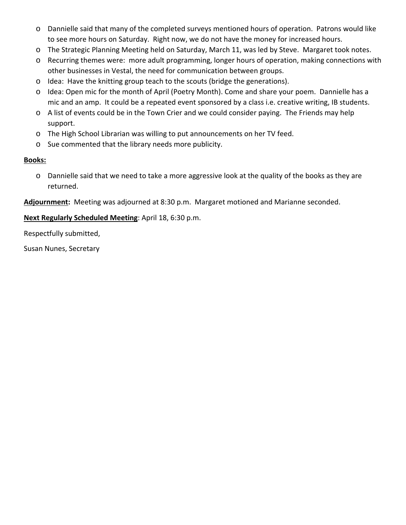- o Dannielle said that many of the completed surveys mentioned hours of operation. Patrons would like to see more hours on Saturday. Right now, we do not have the money for increased hours.
- o The Strategic Planning Meeting held on Saturday, March 11, was led by Steve. Margaret took notes.
- o Recurring themes were: more adult programming, longer hours of operation, making connections with other businesses in Vestal, the need for communication between groups.
- o Idea: Have the knitting group teach to the scouts (bridge the generations).
- o Idea: Open mic for the month of April (Poetry Month). Come and share your poem. Dannielle has a mic and an amp. It could be a repeated event sponsored by a class i.e. creative writing, IB students.
- o A list of events could be in the Town Crier and we could consider paying. The Friends may help support.
- o The High School Librarian was willing to put announcements on her TV feed.
- o Sue commented that the library needs more publicity.

## **Books:**

o Dannielle said that we need to take a more aggressive look at the quality of the books as they are returned.

**Adjournment:** Meeting was adjourned at 8:30 p.m. Margaret motioned and Marianne seconded.

**Next Regularly Scheduled Meeting**: April 18, 6:30 p.m.

Respectfully submitted,

Susan Nunes, Secretary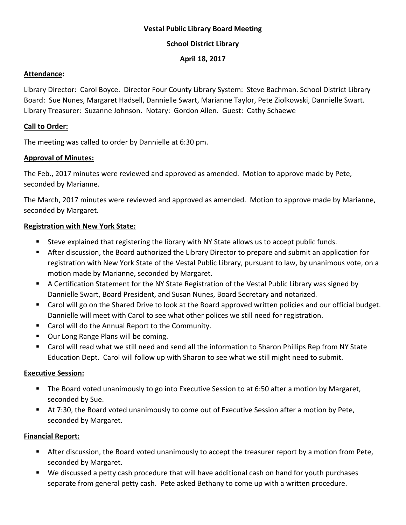## **Vestal Public Library Board Meeting**

## **School District Library**

## **April 18, 2017**

## **Attendance:**

Library Director: Carol Boyce. Director Four County Library System: Steve Bachman. School District Library Board: Sue Nunes, Margaret Hadsell, Dannielle Swart, Marianne Taylor, Pete Ziolkowski, Dannielle Swart. Library Treasurer: Suzanne Johnson. Notary: Gordon Allen. Guest: Cathy Schaewe

## **Call to Order:**

The meeting was called to order by Dannielle at 6:30 pm.

## **Approval of Minutes:**

The Feb., 2017 minutes were reviewed and approved as amended. Motion to approve made by Pete, seconded by Marianne.

The March, 2017 minutes were reviewed and approved as amended. Motion to approve made by Marianne, seconded by Margaret.

## **Registration with New York State:**

- Steve explained that registering the library with NY State allows us to accept public funds.
- After discussion, the Board authorized the Library Director to prepare and submit an application for registration with New York State of the Vestal Public Library, pursuant to law, by unanimous vote, on a motion made by Marianne, seconded by Margaret.
- A Certification Statement for the NY State Registration of the Vestal Public Library was signed by Dannielle Swart, Board President, and Susan Nunes, Board Secretary and notarized.
- Carol will go on the Shared Drive to look at the Board approved written policies and our official budget. Dannielle will meet with Carol to see what other polices we still need for registration.
- Carol will do the Annual Report to the Community.
- **Dur Long Range Plans will be coming.**
- Carol will read what we still need and send all the information to Sharon Phillips Rep from NY State Education Dept. Carol will follow up with Sharon to see what we still might need to submit.

# **Executive Session:**

- **The Board voted unanimously to go into Executive Session to at 6:50 after a motion by Margaret,** seconded by Sue.
- At 7:30, the Board voted unanimously to come out of Executive Session after a motion by Pete, seconded by Margaret.

# **Financial Report:**

- After discussion, the Board voted unanimously to accept the treasurer report by a motion from Pete, seconded by Margaret.
- We discussed a petty cash procedure that will have additional cash on hand for youth purchases separate from general petty cash. Pete asked Bethany to come up with a written procedure.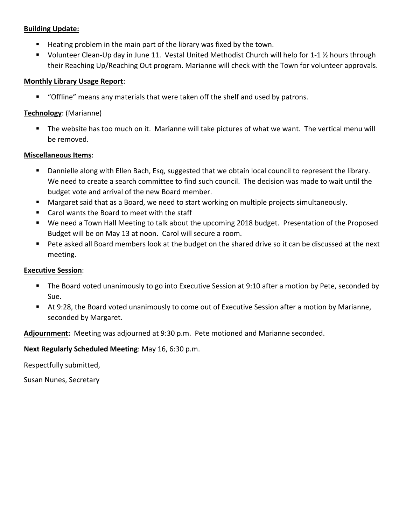## **Building Update:**

- $\blacksquare$  Heating problem in the main part of the library was fixed by the town.
- Volunteer Clean-Up day in June 11. Vestal United Methodist Church will help for 1-1  $\frac{1}{2}$  hours through their Reaching Up/Reaching Out program. Marianne will check with the Town for volunteer approvals.

## **Monthly Library Usage Report**:

"Offline" means any materials that were taken off the shelf and used by patrons.

## **Technology**: (Marianne)

 The website has too much on it. Marianne will take pictures of what we want. The vertical menu will be removed.

## **Miscellaneous Items**:

- Dannielle along with Ellen Bach, Esq, suggested that we obtain local council to represent the library. We need to create a search committee to find such council. The decision was made to wait until the budget vote and arrival of the new Board member.
- Margaret said that as a Board, we need to start working on multiple projects simultaneously.
- Carol wants the Board to meet with the staff
- We need a Town Hall Meeting to talk about the upcoming 2018 budget. Presentation of the Proposed Budget will be on May 13 at noon. Carol will secure a room.
- Pete asked all Board members look at the budget on the shared drive so it can be discussed at the next meeting.

# **Executive Session**:

- The Board voted unanimously to go into Executive Session at 9:10 after a motion by Pete, seconded by Sue.
- At 9:28, the Board voted unanimously to come out of Executive Session after a motion by Marianne, seconded by Margaret.

**Adjournment:** Meeting was adjourned at 9:30 p.m. Pete motioned and Marianne seconded.

# **Next Regularly Scheduled Meeting**: May 16, 6:30 p.m.

Respectfully submitted,

Susan Nunes, Secretary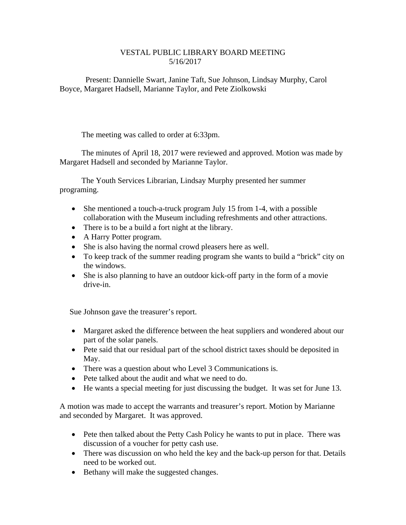### VESTAL PUBLIC LIBRARY BOARD MEETING 5/16/2017

 Present: Dannielle Swart, Janine Taft, Sue Johnson, Lindsay Murphy, Carol Boyce, Margaret Hadsell, Marianne Taylor, and Pete Ziolkowski

The meeting was called to order at 6:33pm.

 The minutes of April 18, 2017 were reviewed and approved. Motion was made by Margaret Hadsell and seconded by Marianne Taylor.

 The Youth Services Librarian, Lindsay Murphy presented her summer programing.

- She mentioned a touch-a-truck program July 15 from 1-4, with a possible collaboration with the Museum including refreshments and other attractions.
- There is to be a build a fort night at the library.
- A Harry Potter program.
- She is also having the normal crowd pleasers here as well.
- To keep track of the summer reading program she wants to build a "brick" city on the windows.
- She is also planning to have an outdoor kick-off party in the form of a movie drive-in.

Sue Johnson gave the treasurer's report.

- Margaret asked the difference between the heat suppliers and wondered about our part of the solar panels.
- Pete said that our residual part of the school district taxes should be deposited in May.
- There was a question about who Level 3 Communications is.
- Pete talked about the audit and what we need to do.
- He wants a special meeting for just discussing the budget. It was set for June 13.

A motion was made to accept the warrants and treasurer's report. Motion by Marianne and seconded by Margaret. It was approved.

- Pete then talked about the Petty Cash Policy he wants to put in place. There was discussion of a voucher for petty cash use.
- There was discussion on who held the key and the back-up person for that. Details need to be worked out.
- Bethany will make the suggested changes.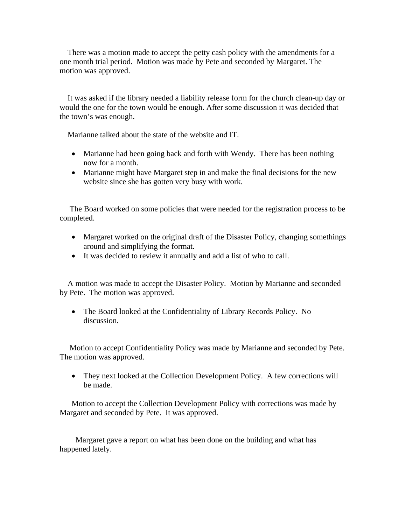There was a motion made to accept the petty cash policy with the amendments for a one month trial period. Motion was made by Pete and seconded by Margaret. The motion was approved.

 It was asked if the library needed a liability release form for the church clean-up day or would the one for the town would be enough. After some discussion it was decided that the town's was enough.

Marianne talked about the state of the website and IT.

- Marianne had been going back and forth with Wendy. There has been nothing now for a month.
- Marianne might have Margaret step in and make the final decisions for the new website since she has gotten very busy with work.

 The Board worked on some policies that were needed for the registration process to be completed.

- Margaret worked on the original draft of the Disaster Policy, changing somethings around and simplifying the format.
- It was decided to review it annually and add a list of who to call.

 A motion was made to accept the Disaster Policy. Motion by Marianne and seconded by Pete. The motion was approved.

• The Board looked at the Confidentiality of Library Records Policy. No discussion.

 Motion to accept Confidentiality Policy was made by Marianne and seconded by Pete. The motion was approved.

• They next looked at the Collection Development Policy. A few corrections will be made.

 Motion to accept the Collection Development Policy with corrections was made by Margaret and seconded by Pete. It was approved.

 Margaret gave a report on what has been done on the building and what has happened lately.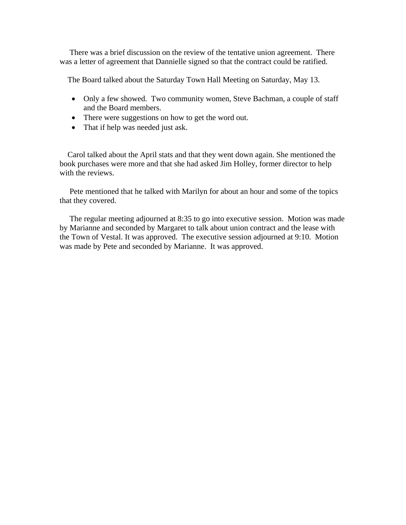There was a brief discussion on the review of the tentative union agreement. There was a letter of agreement that Dannielle signed so that the contract could be ratified.

The Board talked about the Saturday Town Hall Meeting on Saturday, May 13.

- Only a few showed. Two community women, Steve Bachman, a couple of staff and the Board members.
- There were suggestions on how to get the word out.
- That if help was needed just ask.

 Carol talked about the April stats and that they went down again. She mentioned the book purchases were more and that she had asked Jim Holley, former director to help with the reviews.

 Pete mentioned that he talked with Marilyn for about an hour and some of the topics that they covered.

 The regular meeting adjourned at 8:35 to go into executive session. Motion was made by Marianne and seconded by Margaret to talk about union contract and the lease with the Town of Vestal. It was approved. The executive session adjourned at 9:10. Motion was made by Pete and seconded by Marianne. It was approved.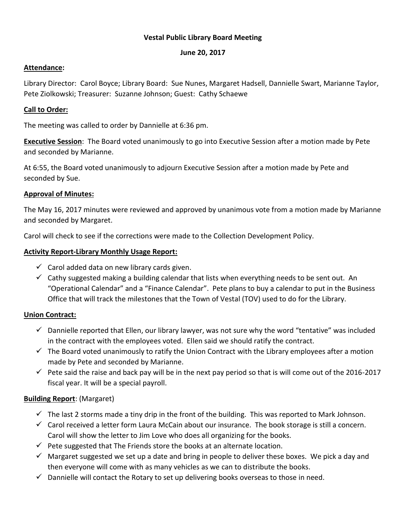## **Vestal Public Library Board Meeting**

### **June 20, 2017**

## **Attendance:**

Library Director: Carol Boyce; Library Board: Sue Nunes, Margaret Hadsell, Dannielle Swart, Marianne Taylor, Pete Ziolkowski; Treasurer: Suzanne Johnson; Guest: Cathy Schaewe

## **Call to Order:**

The meeting was called to order by Dannielle at 6:36 pm.

**Executive Session**: The Board voted unanimously to go into Executive Session after a motion made by Pete and seconded by Marianne.

At 6:55, the Board voted unanimously to adjourn Executive Session after a motion made by Pete and seconded by Sue.

### **Approval of Minutes:**

The May 16, 2017 minutes were reviewed and approved by unanimous vote from a motion made by Marianne and seconded by Margaret.

Carol will check to see if the corrections were made to the Collection Development Policy.

### **Activity Report-Library Monthly Usage Report:**

- $\checkmark$  Carol added data on new library cards given.
- $\checkmark$  Cathy suggested making a building calendar that lists when everything needs to be sent out. An "Operational Calendar" and a "Finance Calendar". Pete plans to buy a calendar to put in the Business Office that will track the milestones that the Town of Vestal (TOV) used to do for the Library.

#### **Union Contract:**

- $\checkmark$  Dannielle reported that Ellen, our library lawyer, was not sure why the word "tentative" was included in the contract with the employees voted. Ellen said we should ratify the contract.
- $\checkmark$  The Board voted unanimously to ratify the Union Contract with the Library employees after a motion made by Pete and seconded by Marianne.
- $\checkmark$  Pete said the raise and back pay will be in the next pay period so that is will come out of the 2016-2017 fiscal year. It will be a special payroll.

## **Building Report**: (Margaret)

- $\checkmark$  The last 2 storms made a tiny drip in the front of the building. This was reported to Mark Johnson.
- $\checkmark$  Carol received a letter form Laura McCain about our insurance. The book storage is still a concern. Carol will show the letter to Jim Love who does all organizing for the books.
- $\checkmark$  Pete suggested that The Friends store the books at an alternate location.
- $\checkmark$  Margaret suggested we set up a date and bring in people to deliver these boxes. We pick a day and then everyone will come with as many vehicles as we can to distribute the books.
- $\checkmark$  Dannielle will contact the Rotary to set up delivering books overseas to those in need.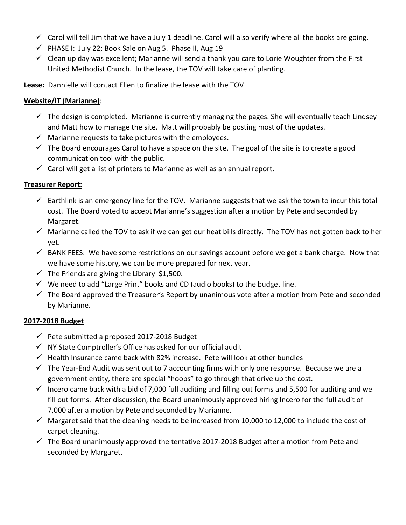- $\checkmark$  Carol will tell Jim that we have a July 1 deadline. Carol will also verify where all the books are going.
- $\checkmark$  PHASE I: July 22; Book Sale on Aug 5. Phase II, Aug 19
- $\checkmark$  Clean up day was excellent; Marianne will send a thank you care to Lorie Woughter from the First United Methodist Church. In the lease, the TOV will take care of planting.
- **Lease:** Dannielle will contact Ellen to finalize the lease with the TOV

## **Website/IT (Marianne)**:

- $\checkmark$  The design is completed. Marianne is currently managing the pages. She will eventually teach Lindsey and Matt how to manage the site. Matt will probably be posting most of the updates.
- $\checkmark$  Marianne requests to take pictures with the employees.
- $\checkmark$  The Board encourages Carol to have a space on the site. The goal of the site is to create a good communication tool with the public.
- $\checkmark$  Carol will get a list of printers to Marianne as well as an annual report.

## **Treasurer Report:**

- $\checkmark$  Earthlink is an emergency line for the TOV. Marianne suggests that we ask the town to incur this total cost. The Board voted to accept Marianne's suggestion after a motion by Pete and seconded by Margaret.
- $\checkmark$  Marianne called the TOV to ask if we can get our heat bills directly. The TOV has not gotten back to her yet.
- $\checkmark$  BANK FEES: We have some restrictions on our savings account before we get a bank charge. Now that we have some history, we can be more prepared for next year.
- $\checkmark$  The Friends are giving the Library \$1,500.
- $\checkmark$  We need to add "Large Print" books and CD (audio books) to the budget line.
- $\checkmark$  The Board approved the Treasurer's Report by unanimous vote after a motion from Pete and seconded by Marianne.

## **2017-2018 Budget**

- $\checkmark$  Pete submitted a proposed 2017-2018 Budget
- $\checkmark$  NY State Comptroller's Office has asked for our official audit
- $\checkmark$  Health Insurance came back with 82% increase. Pete will look at other bundles
- $\checkmark$  The Year-End Audit was sent out to 7 accounting firms with only one response. Because we are a government entity, there are special "hoops" to go through that drive up the cost.
- $\checkmark$  Incero came back with a bid of 7,000 full auditing and filling out forms and 5,500 for auditing and we fill out forms. After discussion, the Board unanimously approved hiring Incero for the full audit of 7,000 after a motion by Pete and seconded by Marianne.
- $\checkmark$  Margaret said that the cleaning needs to be increased from 10,000 to 12,000 to include the cost of carpet cleaning.
- $\checkmark$  The Board unanimously approved the tentative 2017-2018 Budget after a motion from Pete and seconded by Margaret.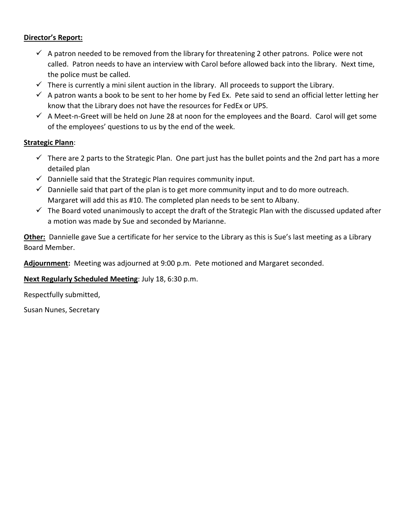## **Director's Report:**

- $\checkmark$  A patron needed to be removed from the library for threatening 2 other patrons. Police were not called. Patron needs to have an interview with Carol before allowed back into the library. Next time, the police must be called.
- $\checkmark$  There is currently a mini silent auction in the library. All proceeds to support the Library.
- $\checkmark$  A patron wants a book to be sent to her home by Fed Ex. Pete said to send an official letter letting her know that the Library does not have the resources for FedEx or UPS.
- $\checkmark$  A Meet-n-Greet will be held on June 28 at noon for the employees and the Board. Carol will get some of the employees' questions to us by the end of the week.

### **Strategic Plann**:

- $\checkmark$  There are 2 parts to the Strategic Plan. One part just has the bullet points and the 2nd part has a more detailed plan
- $\checkmark$  Dannielle said that the Strategic Plan requires community input.
- $\checkmark$  Dannielle said that part of the plan is to get more community input and to do more outreach. Margaret will add this as #10. The completed plan needs to be sent to Albany.
- $\checkmark$  The Board voted unanimously to accept the draft of the Strategic Plan with the discussed updated after a motion was made by Sue and seconded by Marianne.

**Other:** Dannielle gave Sue a certificate for her service to the Library as this is Sue's last meeting as a Library Board Member.

**Adjournment:** Meeting was adjourned at 9:00 p.m. Pete motioned and Margaret seconded.

## **Next Regularly Scheduled Meeting**: July 18, 6:30 p.m.

Respectfully submitted,

Susan Nunes, Secretary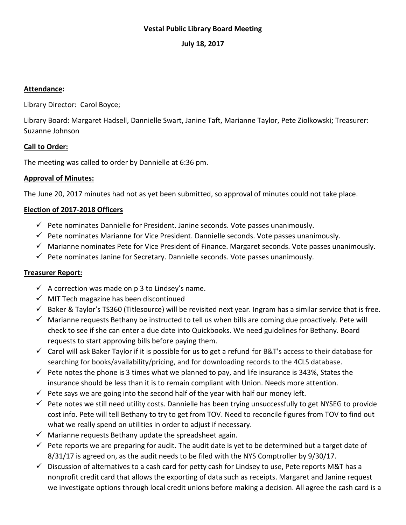## **Vestal Public Library Board Meeting**

### **July 18, 2017**

#### **Attendance:**

Library Director: Carol Boyce;

Library Board: Margaret Hadsell, Dannielle Swart, Janine Taft, Marianne Taylor, Pete Ziolkowski; Treasurer: Suzanne Johnson

### **Call to Order:**

The meeting was called to order by Dannielle at 6:36 pm.

### **Approval of Minutes:**

The June 20, 2017 minutes had not as yet been submitted, so approval of minutes could not take place.

## **Election of 2017-2018 Officers**

- $\checkmark$  Pete nominates Dannielle for President. Janine seconds. Vote passes unanimously.
- $\checkmark$  Pete nominates Marianne for Vice President. Dannielle seconds. Vote passes unanimously.
- $\checkmark$  Marianne nominates Pete for Vice President of Finance. Margaret seconds. Vote passes unanimously.
- $\checkmark$  Pete nominates Janine for Secretary. Dannielle seconds. Vote passes unanimously.

## **Treasurer Report:**

- $\checkmark$  A correction was made on p 3 to Lindsey's name.
- $\checkmark$  MIT Tech magazine has been discontinued
- $\checkmark$  Baker & Taylor's TS360 (Titlesource) will be revisited next year. Ingram has a similar service that is free.
- $\checkmark$  Marianne requests Bethany be instructed to tell us when bills are coming due proactively. Pete will check to see if she can enter a due date into Quickbooks. We need guidelines for Bethany. Board requests to start approving bills before paying them.
- $\checkmark$  Carol will ask Baker Taylor if it is possible for us to get a refund for B&T's access to their database for searching for books/availability/pricing, and for downloading records to the 4CLS database.
- $\checkmark$  Pete notes the phone is 3 times what we planned to pay, and life insurance is 343%, States the insurance should be less than it is to remain compliant with Union. Needs more attention.
- $\checkmark$  Pete says we are going into the second half of the year with half our money left.
- $\checkmark$  Pete notes we still need utility costs. Dannielle has been trying unsuccessfully to get NYSEG to provide cost info. Pete will tell Bethany to try to get from TOV. Need to reconcile figures from TOV to find out what we really spend on utilities in order to adjust if necessary.
- $\checkmark$  Marianne requests Bethany update the spreadsheet again.
- $\checkmark$  Pete reports we are preparing for audit. The audit date is yet to be determined but a target date of 8/31/17 is agreed on, as the audit needs to be filed with the NYS Comptroller by 9/30/17.
- $\checkmark$  Discussion of alternatives to a cash card for petty cash for Lindsey to use, Pete reports M&T has a nonprofit credit card that allows the exporting of data such as receipts. Margaret and Janine request we investigate options through local credit unions before making a decision. All agree the cash card is a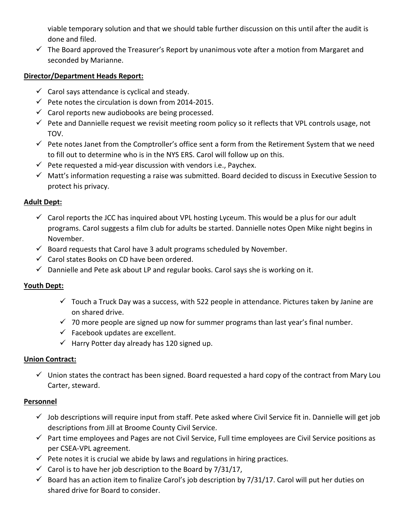viable temporary solution and that we should table further discussion on this until after the audit is done and filed.

 $\checkmark$  The Board approved the Treasurer's Report by unanimous vote after a motion from Margaret and seconded by Marianne.

## **Director/Department Heads Report:**

- $\checkmark$  Carol says attendance is cyclical and steady.
- $\checkmark$  Pete notes the circulation is down from 2014-2015.
- $\checkmark$  Carol reports new audiobooks are being processed.
- $\checkmark$  Pete and Dannielle request we revisit meeting room policy so it reflects that VPL controls usage, not TOV.
- $\checkmark$  Pete notes Janet from the Comptroller's office sent a form from the Retirement System that we need to fill out to determine who is in the NYS ERS. Carol will follow up on this.
- $\checkmark$  Pete requested a mid-year discussion with vendors i.e., Paychex.
- $\checkmark$  Matt's information requesting a raise was submitted. Board decided to discuss in Executive Session to protect his privacy.

# **Adult Dept:**

- $\checkmark$  Carol reports the JCC has inquired about VPL hosting Lyceum. This would be a plus for our adult programs. Carol suggests a film club for adults be started. Dannielle notes Open Mike night begins in November.
- $\checkmark$  Board requests that Carol have 3 adult programs scheduled by November.
- $\checkmark$  Carol states Books on CD have been ordered.
- $\checkmark$  Dannielle and Pete ask about LP and regular books. Carol says she is working on it.

# **Youth Dept:**

- $\checkmark$  Touch a Truck Day was a success, with 522 people in attendance. Pictures taken by Janine are on shared drive.
- $\checkmark$  70 more people are signed up now for summer programs than last year's final number.
- $\checkmark$  Facebook updates are excellent.
- $\checkmark$  Harry Potter day already has 120 signed up.

# **Union Contract:**

 $\checkmark$  Union states the contract has been signed. Board requested a hard copy of the contract from Mary Lou Carter, steward.

# **Personnel**

- $\checkmark$  Job descriptions will require input from staff. Pete asked where Civil Service fit in. Dannielle will get job descriptions from Jill at Broome County Civil Service.
- $\checkmark$  Part time employees and Pages are not Civil Service, Full time employees are Civil Service positions as per CSEA-VPL agreement.
- $\checkmark$  Pete notes it is crucial we abide by laws and regulations in hiring practices.
- $\checkmark$  Carol is to have her job description to the Board by 7/31/17,
- $\checkmark$  Board has an action item to finalize Carol's job description by 7/31/17. Carol will put her duties on shared drive for Board to consider.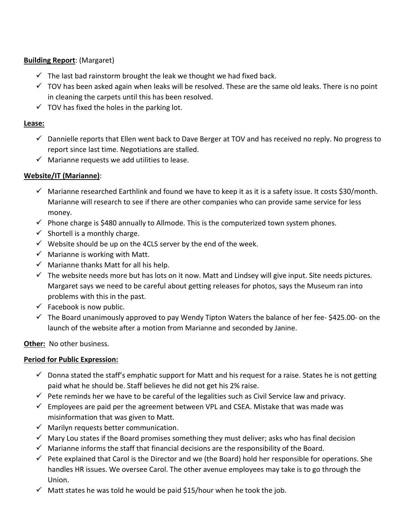## **Building Report**: (Margaret)

- $\checkmark$  The last bad rainstorm brought the leak we thought we had fixed back.
- $\checkmark$  TOV has been asked again when leaks will be resolved. These are the same old leaks. There is no point in cleaning the carpets until this has been resolved.
- $\checkmark$  TOV has fixed the holes in the parking lot.

## **Lease:**

- $\checkmark$  Dannielle reports that Ellen went back to Dave Berger at TOV and has received no reply. No progress to report since last time. Negotiations are stalled.
- $\checkmark$  Marianne requests we add utilities to lease.

## **Website/IT (Marianne)**:

- $\checkmark$  Marianne researched Earthlink and found we have to keep it as it is a safety issue. It costs \$30/month. Marianne will research to see if there are other companies who can provide same service for less money.
- $\checkmark$  Phone charge is \$480 annually to Allmode. This is the computerized town system phones.
- $\checkmark$  Shortell is a monthly charge.
- $\checkmark$  Website should be up on the 4CLS server by the end of the week.
- $\checkmark$  Marianne is working with Matt.
- $\checkmark$  Marianne thanks Matt for all his help.
- $\checkmark$  The website needs more but has lots on it now. Matt and Lindsey will give input. Site needs pictures. Margaret says we need to be careful about getting releases for photos, says the Museum ran into problems with this in the past.
- $\checkmark$  Facebook is now public.
- $\checkmark$  The Board unanimously approved to pay Wendy Tipton Waters the balance of her fee- \$425.00- on the launch of the website after a motion from Marianne and seconded by Janine.

## **Other:** No other business.

## **Period for Public Expression:**

- $\checkmark$  Donna stated the staff's emphatic support for Matt and his request for a raise. States he is not getting paid what he should be. Staff believes he did not get his 2% raise.
- $\checkmark$  Pete reminds her we have to be careful of the legalities such as Civil Service law and privacy.
- $\checkmark$  Employees are paid per the agreement between VPL and CSEA. Mistake that was made was misinformation that was given to Matt.
- $\checkmark$  Marilyn requests better communication.
- $\checkmark$  Mary Lou states if the Board promises something they must deliver; asks who has final decision
- $\checkmark$  Marianne informs the staff that financial decisions are the responsibility of the Board.
- $\checkmark$  Pete explained that Carol is the Director and we (the Board) hold her responsible for operations. She handles HR issues. We oversee Carol. The other avenue employees may take is to go through the Union.
- $\checkmark$  Matt states he was told he would be paid \$15/hour when he took the job.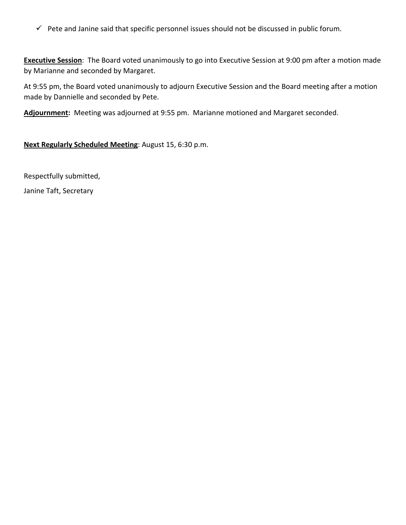$\checkmark$  Pete and Janine said that specific personnel issues should not be discussed in public forum.

**Executive Session**: The Board voted unanimously to go into Executive Session at 9:00 pm after a motion made by Marianne and seconded by Margaret.

At 9:55 pm, the Board voted unanimously to adjourn Executive Session and the Board meeting after a motion made by Dannielle and seconded by Pete.

**Adjournment:** Meeting was adjourned at 9:55 pm. Marianne motioned and Margaret seconded.

**Next Regularly Scheduled Meeting**: August 15, 6:30 p.m.

Respectfully submitted,

Janine Taft, Secretary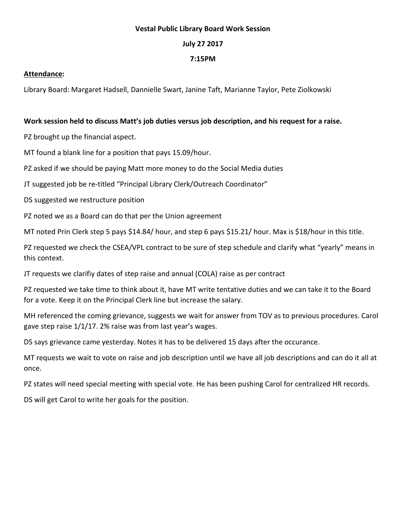#### **Vestal Public Library Board Work Session**

#### **July 27 2017**

#### **7:15PM**

#### **Attendance:**

Library Board: Margaret Hadsell, Dannielle Swart, Janine Taft, Marianne Taylor, Pete Ziolkowski

#### **Work session held to discuss Matt's job duties versus job description, and his request for a raise.**

PZ brought up the financial aspect.

MT found a blank line for a position that pays 15.09/hour.

PZ asked if we should be paying Matt more money to do the Social Media duties

JT suggested job be re-titled "Principal Library Clerk/Outreach Coordinator"

DS suggested we restructure position

PZ noted we as a Board can do that per the Union agreement

MT noted Prin Clerk step 5 pays \$14.84/ hour, and step 6 pays \$15.21/ hour. Max is \$18/hour in this title.

PZ requested we check the CSEA/VPL contract to be sure of step schedule and clarify what "yearly" means in this context.

JT requests we clarifiy dates of step raise and annual (COLA) raise as per contract

PZ requested we take time to think about it, have MT write tentative duties and we can take it to the Board for a vote. Keep it on the Principal Clerk line but increase the salary.

MH referenced the coming grievance, suggests we wait for answer from TOV as to previous procedures. Carol gave step raise 1/1/17. 2% raise was from last year's wages.

DS says grievance came yesterday. Notes it has to be delivered 15 days after the occurance.

MT requests we wait to vote on raise and job description until we have all job descriptions and can do it all at once.

PZ states will need special meeting with special vote. He has been pushing Carol for centralized HR records.

DS will get Carol to write her goals for the position.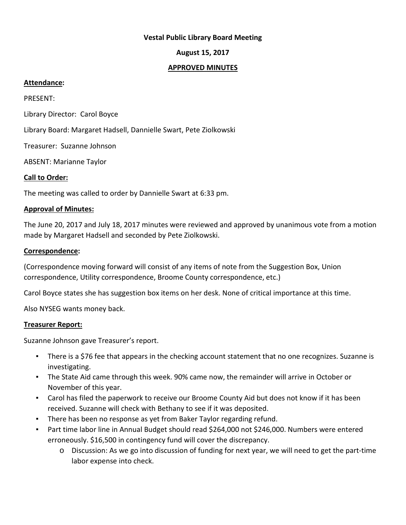#### **Vestal Public Library Board Meeting**

### **August 15, 2017**

#### **APPROVED MINUTES**

#### **Attendance:**

PRESENT:

Library Director: Carol Boyce

Library Board: Margaret Hadsell, Dannielle Swart, Pete Ziolkowski

Treasurer: Suzanne Johnson

ABSENT: Marianne Taylor

#### **Call to Order:**

The meeting was called to order by Dannielle Swart at 6:33 pm.

#### **Approval of Minutes:**

The June 20, 2017 and July 18, 2017 minutes were reviewed and approved by unanimous vote from a motion made by Margaret Hadsell and seconded by Pete Ziolkowski.

#### **Correspondence:**

(Correspondence moving forward will consist of any items of note from the Suggestion Box, Union correspondence, Utility correspondence, Broome County correspondence, etc.)

Carol Boyce states she has suggestion box items on her desk. None of critical importance at this time.

Also NYSEG wants money back.

#### **Treasurer Report:**

Suzanne Johnson gave Treasurer's report.

- **•** There is a \$76 fee that appears in the checking account statement that no one recognizes. Suzanne is investigating.
- The State Aid came through this week. 90% came now, the remainder will arrive in October or November of this year.
- Carol has filed the paperwork to receive our Broome County Aid but does not know if it has been received. Suzanne will check with Bethany to see if it was deposited.
- There has been no response as yet from Baker Taylor regarding refund.
- Part time labor line in Annual Budget should read \$264,000 not \$246,000. Numbers were entered erroneously. \$16,500 in contingency fund will cover the discrepancy.
	- o Discussion: As we go into discussion of funding for next year, we will need to get the part-time labor expense into check.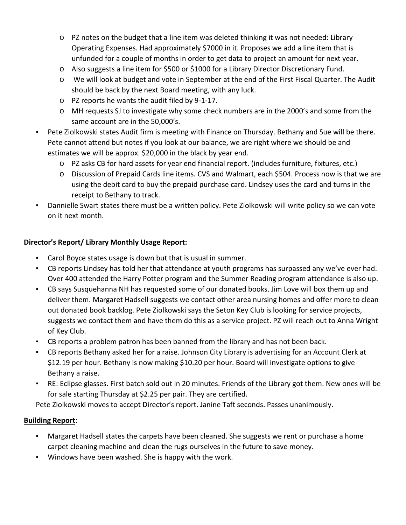- o PZ notes on the budget that a line item was deleted thinking it was not needed: Library Operating Expenses. Had approximately \$7000 in it. Proposes we add a line item that is unfunded for a couple of months in order to get data to project an amount for next year.
- o Also suggests a line item for \$500 or \$1000 for a Library Director Discretionary Fund.
- o We will look at budget and vote in September at the end of the First Fiscal Quarter. The Audit should be back by the next Board meeting, with any luck.
- o PZ reports he wants the audit filed by 9-1-17.
- o MH requests SJ to investigate why some check numbers are in the 2000's and some from the same account are in the 50,000's.
- Pete Ziolkowski states Audit firm is meeting with Finance on Thursday. Bethany and Sue will be there. Pete cannot attend but notes if you look at our balance, we are right where we should be and estimates we will be approx. \$20,000 in the black by year end.
	- o PZ asks CB for hard assets for year end financial report. (includes furniture, fixtures, etc.)
	- o Discussion of Prepaid Cards line items. CVS and Walmart, each \$504. Process now is that we are using the debit card to buy the prepaid purchase card. Lindsey uses the card and turns in the receipt to Bethany to track.
- Dannielle Swart states there must be a written policy. Pete Ziolkowski will write policy so we can vote on it next month.

## **Director's Report/ Library Monthly Usage Report:**

- Carol Boyce states usage is down but that is usual in summer.
- CB reports Lindsey has told her that attendance at youth programs has surpassed any we've ever had. Over 400 attended the Harry Potter program and the Summer Reading program attendance is also up.
- CB says Susquehanna NH has requested some of our donated books. Jim Love will box them up and deliver them. Margaret Hadsell suggests we contact other area nursing homes and offer more to clean out donated book backlog. Pete Ziolkowski says the Seton Key Club is looking for service projects, suggests we contact them and have them do this as a service project. PZ will reach out to Anna Wright of Key Club.
- CB reports a problem patron has been banned from the library and has not been back.
- CB reports Bethany asked her for a raise. Johnson City Library is advertising for an Account Clerk at \$12.19 per hour. Bethany is now making \$10.20 per hour. Board will investigate options to give Bethany a raise.
- RE: Eclipse glasses. First batch sold out in 20 minutes. Friends of the Library got them. New ones will be for sale starting Thursday at \$2.25 per pair. They are certified.

Pete Ziolkowski moves to accept Director's report. Janine Taft seconds. Passes unanimously.

## **Building Report**:

- Margaret Hadsell states the carpets have been cleaned. She suggests we rent or purchase a home carpet cleaning machine and clean the rugs ourselves in the future to save money.
- Windows have been washed. She is happy with the work.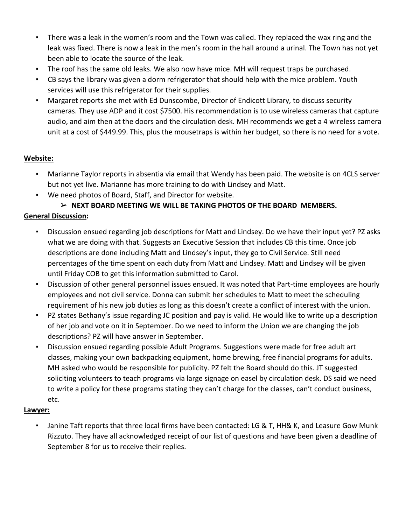- There was a leak in the women's room and the Town was called. They replaced the wax ring and the leak was fixed. There is now a leak in the men's room in the hall around a urinal. The Town has not yet been able to locate the source of the leak.
- The roof has the same old leaks. We also now have mice. MH will request traps be purchased.
- CB says the library was given a dorm refrigerator that should help with the mice problem. Youth services will use this refrigerator for their supplies.
- Margaret reports she met with Ed Dunscombe, Director of Endicott Library, to discuss security cameras. They use ADP and it cost \$7500. His recommendation is to use wireless cameras that capture audio, and aim then at the doors and the circulation desk. MH recommends we get a 4 wireless camera unit at a cost of \$449.99. This, plus the mousetraps is within her budget, so there is no need for a vote.

# **Website:**

- Marianne Taylor reports in absentia via email that Wendy has been paid. The website is on 4CLS server but not yet live. Marianne has more training to do with Lindsey and Matt.
- We need photos of Board, Staff, and Director for website.

# ➢ **NEXT BOARD MEETING WE WILL BE TAKING PHOTOS OF THE BOARD MEMBERS.**

# **General Discussion:**

- Discussion ensued regarding job descriptions for Matt and Lindsey. Do we have their input yet? PZ asks what we are doing with that. Suggests an Executive Session that includes CB this time. Once job descriptions are done including Matt and Lindsey's input, they go to Civil Service. Still need percentages of the time spent on each duty from Matt and Lindsey. Matt and Lindsey will be given until Friday COB to get this information submitted to Carol.
- Discussion of other general personnel issues ensued. It was noted that Part-time employees are hourly employees and not civil service. Donna can submit her schedules to Matt to meet the scheduling requirement of his new job duties as long as this doesn't create a conflict of interest with the union.
- PZ states Bethany's issue regarding JC position and pay is valid. He would like to write up a description of her job and vote on it in September. Do we need to inform the Union we are changing the job descriptions? PZ will have answer in September.
- Discussion ensued regarding possible Adult Programs. Suggestions were made for free adult art classes, making your own backpacking equipment, home brewing, free financial programs for adults. MH asked who would be responsible for publicity. PZ felt the Board should do this. JT suggested soliciting volunteers to teach programs via large signage on easel by circulation desk. DS said we need to write a policy for these programs stating they can't charge for the classes, can't conduct business, etc.

# **Lawyer:**

Janine Taft reports that three local firms have been contacted: LG & T, HH& K, and Leasure Gow Munk Rizzuto. They have all acknowledged receipt of our list of questions and have been given a deadline of September 8 for us to receive their replies.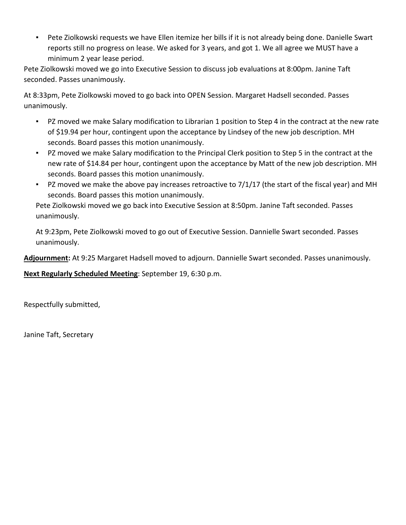▪ Pete Ziolkowski requests we have Ellen itemize her bills if it is not already being done. Danielle Swart reports still no progress on lease. We asked for 3 years, and got 1. We all agree we MUST have a minimum 2 year lease period.

Pete Ziolkowski moved we go into Executive Session to discuss job evaluations at 8:00pm. Janine Taft seconded. Passes unanimously.

At 8:33pm, Pete Ziolkowski moved to go back into OPEN Session. Margaret Hadsell seconded. Passes unanimously.

- PZ moved we make Salary modification to Librarian 1 position to Step 4 in the contract at the new rate of \$19.94 per hour, contingent upon the acceptance by Lindsey of the new job description. MH seconds. Board passes this motion unanimously.
- PZ moved we make Salary modification to the Principal Clerk position to Step 5 in the contract at the new rate of \$14.84 per hour, contingent upon the acceptance by Matt of the new job description. MH seconds. Board passes this motion unanimously.
- **•** PZ moved we make the above pay increases retroactive to  $7/1/17$  (the start of the fiscal year) and MH seconds. Board passes this motion unanimously.

Pete Ziolkowski moved we go back into Executive Session at 8:50pm. Janine Taft seconded. Passes unanimously.

At 9:23pm, Pete Ziolkowski moved to go out of Executive Session. Dannielle Swart seconded. Passes unanimously.

**Adjournment:** At 9:25 Margaret Hadsell moved to adjourn. Dannielle Swart seconded. Passes unanimously.

**Next Regularly Scheduled Meeting**: September 19, 6:30 p.m.

Respectfully submitted,

Janine Taft, Secretary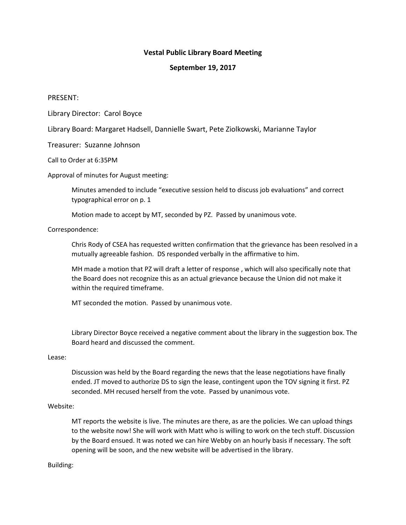#### **Vestal Public Library Board Meeting**

#### **September 19, 2017**

#### PRESENT:

Library Director: Carol Boyce

Library Board: Margaret Hadsell, Dannielle Swart, Pete Ziolkowski, Marianne Taylor

Treasurer: Suzanne Johnson

Call to Order at 6:35PM

Approval of minutes for August meeting:

Minutes amended to include "executive session held to discuss job evaluations" and correct typographical error on p. 1

Motion made to accept by MT, seconded by PZ. Passed by unanimous vote.

Correspondence:

Chris Rody of CSEA has requested written confirmation that the grievance has been resolved in a mutually agreeable fashion. DS responded verbally in the affirmative to him.

MH made a motion that PZ will draft a letter of response , which will also specifically note that the Board does not recognize this as an actual grievance because the Union did not make it within the required timeframe.

MT seconded the motion. Passed by unanimous vote.

Library Director Boyce received a negative comment about the library in the suggestion box. The Board heard and discussed the comment.

#### Lease:

Discussion was held by the Board regarding the news that the lease negotiations have finally ended. JT moved to authorize DS to sign the lease, contingent upon the TOV signing it first. PZ seconded. MH recused herself from the vote. Passed by unanimous vote.

#### Website:

MT reports the website is live. The minutes are there, as are the policies. We can upload things to the website now! She will work with Matt who is willing to work on the tech stuff. Discussion by the Board ensued. It was noted we can hire Webby on an hourly basis if necessary. The soft opening will be soon, and the new website will be advertised in the library.

Building: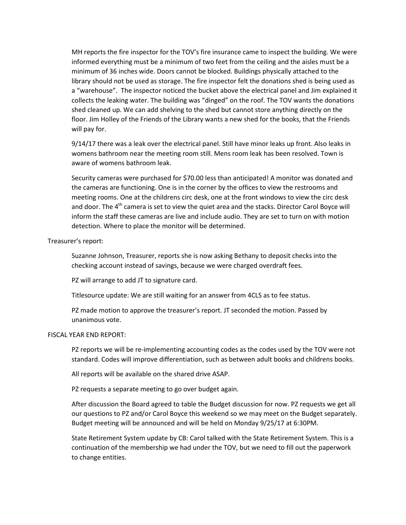MH reports the fire inspector for the TOV's fire insurance came to inspect the building. We were informed everything must be a minimum of two feet from the ceiling and the aisles must be a minimum of 36 inches wide. Doors cannot be blocked. Buildings physically attached to the library should not be used as storage. The fire inspector felt the donations shed is being used as a "warehouse". The inspector noticed the bucket above the electrical panel and Jim explained it collects the leaking water. The building was "dinged" on the roof. The TOV wants the donations shed cleaned up. We can add shelving to the shed but cannot store anything directly on the floor. Jim Holley of the Friends of the Library wants a new shed for the books, that the Friends will pay for.

9/14/17 there was a leak over the electrical panel. Still have minor leaks up front. Also leaks in womens bathroom near the meeting room still. Mens room leak has been resolved. Town is aware of womens bathroom leak.

Security cameras were purchased for \$70.00 less than anticipated! A monitor was donated and the cameras are functioning. One is in the corner by the offices to view the restrooms and meeting rooms. One at the childrens circ desk, one at the front windows to view the circ desk and door. The 4<sup>th</sup> camera is set to view the quiet area and the stacks. Director Carol Boyce will inform the staff these cameras are live and include audio. They are set to turn on with motion detection. Where to place the monitor will be determined.

#### Treasurer's report:

Suzanne Johnson, Treasurer, reports she is now asking Bethany to deposit checks into the checking account instead of savings, because we were charged overdraft fees.

PZ will arrange to add JT to signature card.

Titlesource update: We are still waiting for an answer from 4CLS as to fee status.

PZ made motion to approve the treasurer's report. JT seconded the motion. Passed by unanimous vote.

#### FISCAL YEAR END REPORT:

PZ reports we will be re-implementing accounting codes as the codes used by the TOV were not standard. Codes will improve differentiation, such as between adult books and childrens books.

All reports will be available on the shared drive ASAP.

PZ requests a separate meeting to go over budget again.

After discussion the Board agreed to table the Budget discussion for now. PZ requests we get all our questions to PZ and/or Carol Boyce this weekend so we may meet on the Budget separately. Budget meeting will be announced and will be held on Monday 9/25/17 at 6:30PM.

State Retirement System update by CB: Carol talked with the State Retirement System. This is a continuation of the membership we had under the TOV, but we need to fill out the paperwork to change entities.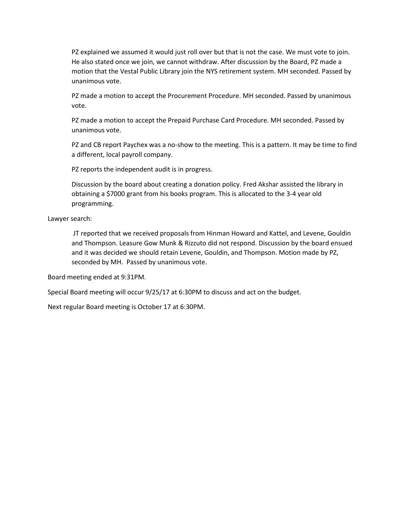PZ explained we assumed it would just roll over but that is not the case. We must vote to join. He also stated once we join, we cannot withdraw. After discussion by the Board, PZ made a motion that the Vestal Public Library join the NYS retirement system. MH seconded. Passed by unanimous vote.

PZ made a motion to accept the Procurement Procedure. MH seconded. Passed by unanimous vote.

PZ made a motion to accept the Prepaid Purchase Card Procedure. MH seconded. Passed by unanimous vote.

PZ and CB report Paychex was a no-show to the meeting. This is a pattern. It may be time to find a different, local payroll company.

PZ reports the independent audit is in progress.

Discussion by the board about creating a donation policy. Fred Akshar assisted the library in obtaining a \$7000 grant from his books program. This is allocated to the 3-4 year old programming.

Lawyer search:

JT reported that we received proposals from Hinman Howard and Kattel, and Levene, Gouldin and Thompson. Leasure Gow Munk & Rizzuto did not respond. Discussion by the board ensued and it was decided we should retain Levene, Gouldin, and Thompson. Motion made by PZ, seconded by MH. Passed by unanimous vote.

Board meeting ended at 9:31PM.

Special Board meeting will occur 9/25/17 at 6:30PM to discuss and act on the budget.

Next regular Board meeting is October 17 at 6:30PM.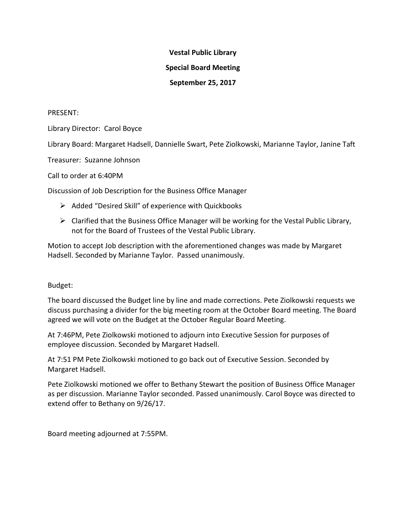### **Vestal Public Library**

## **Special Board Meeting**

## **September 25, 2017**

### PRESENT:

Library Director: Carol Boyce

Library Board: Margaret Hadsell, Dannielle Swart, Pete Ziolkowski, Marianne Taylor, Janine Taft

Treasurer: Suzanne Johnson

Call to order at 6:40PM

Discussion of Job Description for the Business Office Manager

- $\triangleright$  Added "Desired Skill" of experience with Quickbooks
- $\triangleright$  Clarified that the Business Office Manager will be working for the Vestal Public Library, not for the Board of Trustees of the Vestal Public Library.

Motion to accept Job description with the aforementioned changes was made by Margaret Hadsell. Seconded by Marianne Taylor. Passed unanimously.

## Budget:

The board discussed the Budget line by line and made corrections. Pete Ziolkowski requests we discuss purchasing a divider for the big meeting room at the October Board meeting. The Board agreed we will vote on the Budget at the October Regular Board Meeting.

At 7:46PM, Pete Ziolkowski motioned to adjourn into Executive Session for purposes of employee discussion. Seconded by Margaret Hadsell.

At 7:51 PM Pete Ziolkowski motioned to go back out of Executive Session. Seconded by Margaret Hadsell.

Pete Ziolkowski motioned we offer to Bethany Stewart the position of Business Office Manager as per discussion. Marianne Taylor seconded. Passed unanimously. Carol Boyce was directed to extend offer to Bethany on 9/26/17.

Board meeting adjourned at 7:55PM.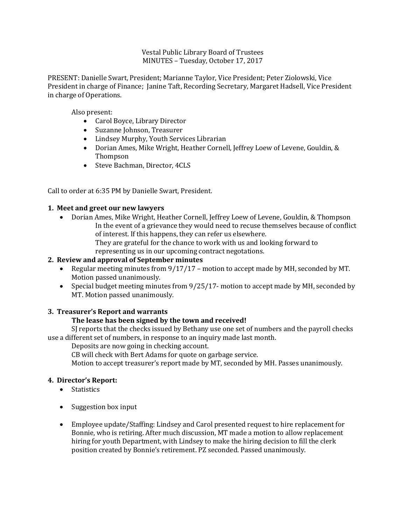Vestal Public Library Board of Trustees MINUTES – Tuesday, October 17, 2017

PRESENT: Danielle Swart, President; Marianne Taylor, Vice President; Peter Ziolowski, Vice President in charge of Finance; Janine Taft, Recording Secretary, Margaret Hadsell, Vice President in charge of Operations.

Also present:

- Carol Boyce, Library Director
- Suzanne Johnson, Treasurer
- Lindsey Murphy, Youth Services Librarian
- Dorian Ames, Mike Wright, Heather Cornell, Jeffrey Loew of Levene, Gouldin, & Thompson
- Steve Bachman, Director, 4CLS

Call to order at 6:35 PM by Danielle Swart, President.

#### **1. Meet and greet our new lawyers**

- Dorian Ames, Mike Wright, Heather Cornell, Jeffrey Loew of Levene, Gouldin, & Thompson In the event of a grievance they would need to recuse themselves because of conflict of interest. If this happens, they can refer us elsewhere.
	- They are grateful for the chance to work with us and looking forward to representing us in our upcoming contract negotations.

#### **2. Review and approval of September minutes**

- Regular meeting minutes from  $9/17/17$  motion to accept made by MH, seconded by MT. Motion passed unanimously.
- Special budget meeting minutes from  $9/25/17$  motion to accept made by MH, seconded by MT. Motion passed unanimously.

#### **3. Treasurer's Report and warrants**

#### **The lease has been signed by the town and received!**

SJ reports that the checks issued by Bethany use one set of numbers and the payroll checks use a different set of numbers, in response to an inquiry made last month.

Deposits are now going in checking account.

CB will check with Bert Adams for quote on garbage service.

Motion to accept treasurer's report made by MT, seconded by MH. Passes unanimously.

#### **4. Director's Report:**

- Statistics
- Suggestion box input
- Employee update/Staffing: Lindsey and Carol presented request to hire replacement for Bonnie, who is retiring. After much discussion, MT made a motion to allow replacement hiring for youth Department, with Lindsey to make the hiring decision to fill the clerk position created by Bonnie's retirement. PZ seconded. Passed unanimously.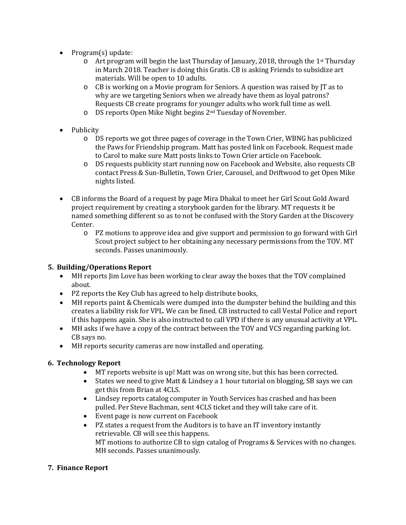- Program(s) update:
	- Art program will begin the last Thursday of January, 2018, through the 1st Thursday in March 2018. Teacher is doing this Gratis. CB is asking Friends to subsidize art materials. Will be open to 10 adults.
	- o CB is working on a Movie program for Seniors. A question was raised by JT as to why are we targeting Seniors when we already have them as loyal patrons? Requests CB create programs for younger adults who work full time as well.
	- o DS reports Open Mike Night begins 2nd Tuesday of November.
- Publicity
	- o DS reports we got three pages of coverage in the Town Crier, WBNG has publicized the Paws for Friendship program. Matt has posted link on Facebook. Request made to Carol to make sure Matt posts links to Town Crier article on Facebook.
	- o DS requests publicity start running now on Facebook and Website, also requests CB contact Press & Sun-Bulletin, Town Crier, Carousel, and Driftwood to get Open Mike nights listed.
- CB informs the Board of a request by page Mira Dhakal to meet her Girl Scout Gold Award project requirement by creating a storybook garden for the library. MT requests it be named something different so as to not be confused with the Story Garden at the Discovery Center.
	- o PZ motions to approve idea and give support and permission to go forward with Girl Scout project subject to her obtaining any necessary permissions from the TOV. MT seconds. Passes unanimously.

## **5. Building/Operations Report**

- MH reports Jim Love has been working to clear away the boxes that the TOV complained about.
- PZ reports the Key Club has agreed to help distribute books,
- MH reports paint & Chemicals were dumped into the dumpster behind the building and this creates a liability risk for VPL. We can be fined. CB instructed to call Vestal Police and report if this happens again. She is also instructed to call VPD if there is any unusual activity at VPL.
- MH asks if we have a copy of the contract between the TOV and VCS regarding parking lot. CB says no.
- MH reports security cameras are now installed and operating.

## **6. Technology Report**

- MT reports website is up! Matt was on wrong site, but this has been corrected.
- States we need to give Matt & Lindsey a 1 hour tutorial on blogging, SB says we can get this from Brian at 4CLS.
- Lindsey reports catalog computer in Youth Services has crashed and has been pulled. Per Steve Bachman, sent 4CLS ticket and they will take care of it.
- Event page is now current on Facebook
- PZ states a request from the Auditors is to have an IT inventory instantly retrievable. CB will see this happens. MT motions to authorize CB to sign catalog of Programs & Services with no changes. MH seconds. Passes unanimously.

#### **7. Finance Report**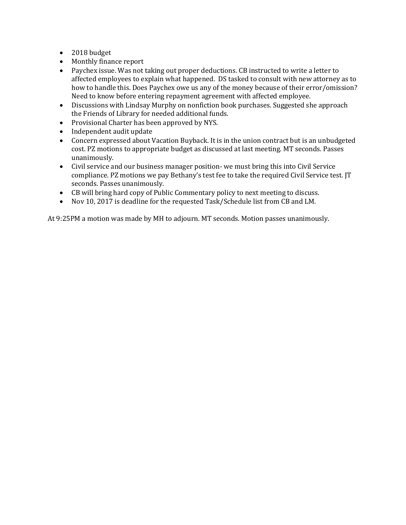- 2018 budget
- Monthly finance report
- Paychex issue. Was not taking out proper deductions. CB instructed to write a letter to affected employees to explain what happened. DS tasked to consult with new attorney as to how to handle this. Does Paychex owe us any of the money because of their error/omission? Need to know before entering repayment agreement with affected employee.
- Discussions with Lindsay Murphy on nonfiction book purchases. Suggested she approach the Friends of Library for needed additional funds.
- Provisional Charter has been approved by NYS.
- Independent audit update
- Concern expressed about Vacation Buyback. It is in the union contract but is an unbudgeted cost. PZ motions to appropriate budget as discussed at last meeting. MT seconds. Passes unanimously.
- Civil service and our business manager position- we must bring this into Civil Service compliance. PZ motions we pay Bethany's test fee to take the required Civil Service test. JT seconds. Passes unanimously.
- CB will bring hard copy of Public Commentary policy to next meeting to discuss.
- Nov 10, 2017 is deadline for the requested Task/Schedule list from CB and LM.

At 9:25PM a motion was made by MH to adjourn. MT seconds. Motion passes unanimously.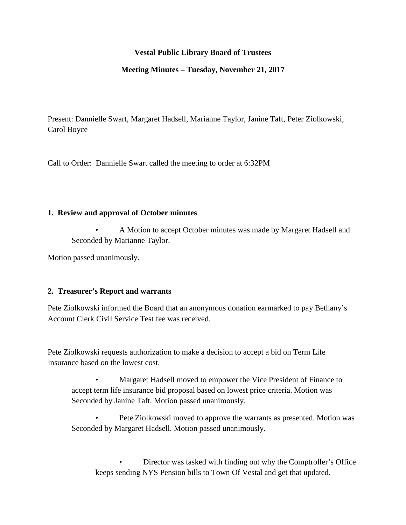## **Vestal Public Library Board of Trustees**

#### **Meeting Minutes – Tuesday, November 21, 2017**

Present: Dannielle Swart, Margaret Hadsell, Marianne Taylor, Janine Taft, Peter Ziolkowski, Carol Boyce

Call to Order: Dannielle Swart called the meeting to order at 6:32PM

#### **1. Review and approval of October minutes**

• A Motion to accept October minutes was made by Margaret Hadsell and Seconded by Marianne Taylor.

Motion passed unanimously.

#### **2. Treasurer's Report and warrants**

Pete Ziolkowski informed the Board that an anonymous donation earmarked to pay Bethany's Account Clerk Civil Service Test fee was received.

Pete Ziolkowski requests authorization to make a decision to accept a bid on Term Life Insurance based on the lowest cost.

• Margaret Hadsell moved to empower the Vice President of Finance to accept term life insurance bid proposal based on lowest price criteria. Motion was Seconded by Janine Taft. Motion passed unanimously.

• Pete Ziolkowski moved to approve the warrants as presented. Motion was Seconded by Margaret Hadsell. Motion passed unanimously.

• Director was tasked with finding out why the Comptroller's Office keeps sending NYS Pension bills to Town Of Vestal and get that updated.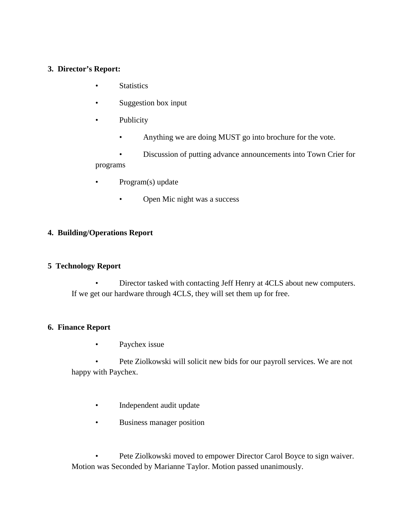## **3. Director's Report:**

- **Statistics**
- Suggestion box input
- **Publicity** 
	- Anything we are doing MUST go into brochure for the vote.

• Discussion of putting advance announcements into Town Crier for programs

- Program(s) update
	- Open Mic night was a success

## **4. Building/Operations Report**

## **5 Technology Report**

• Director tasked with contacting Jeff Henry at 4CLS about new computers. If we get our hardware through 4CLS, they will set them up for free.

## **6. Finance Report**

Paychex issue

• Pete Ziolkowski will solicit new bids for our payroll services. We are not happy with Paychex.

- Independent audit update
- Business manager position

Pete Ziolkowski moved to empower Director Carol Boyce to sign waiver. Motion was Seconded by Marianne Taylor. Motion passed unanimously.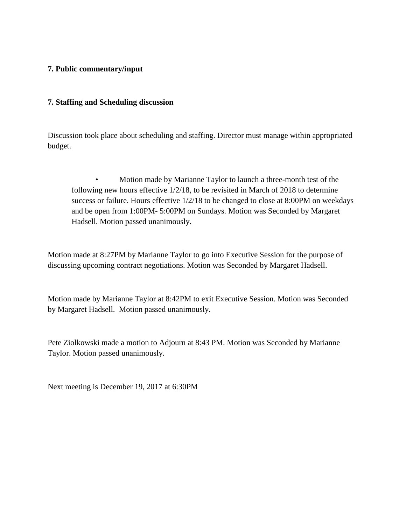## **7. Public commentary/input**

### **7. Staffing and Scheduling discussion**

Discussion took place about scheduling and staffing. Director must manage within appropriated budget.

• Motion made by Marianne Taylor to launch a three-month test of the following new hours effective 1/2/18, to be revisited in March of 2018 to determine success or failure. Hours effective 1/2/18 to be changed to close at 8:00PM on weekdays and be open from 1:00PM- 5:00PM on Sundays. Motion was Seconded by Margaret Hadsell. Motion passed unanimously.

Motion made at 8:27PM by Marianne Taylor to go into Executive Session for the purpose of discussing upcoming contract negotiations. Motion was Seconded by Margaret Hadsell.

Motion made by Marianne Taylor at 8:42PM to exit Executive Session. Motion was Seconded by Margaret Hadsell. Motion passed unanimously.

Pete Ziolkowski made a motion to Adjourn at 8:43 PM. Motion was Seconded by Marianne Taylor. Motion passed unanimously.

Next meeting is December 19, 2017 at 6:30PM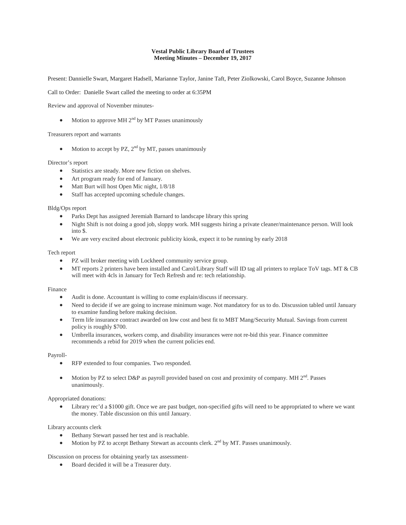#### **Vestal Public Library Board of Trustees Meeting Minutes – December 19, 2017**

Present: Dannielle Swart, Margaret Hadsell, Marianne Taylor, Janine Taft, Peter Ziolkowski, Carol Boyce, Suzanne Johnson

Call to Order: Danielle Swart called the meeting to order at 6:35PM

Review and approval of November minutes-

• Motion to approve MH  $2<sup>nd</sup>$  by MT Passes unanimously

#### Treasurers report and warrants

Motion to accept by PZ,  $2<sup>nd</sup>$  by MT, passes unanimously

#### Director's report

- Statistics are steady. More new fiction on shelves.
- Art program ready for end of January.
- Matt Burt will host Open Mic night,  $1/8/18$
- Staff has accepted upcoming schedule changes.

#### Bldg/Ops report

- Parks Dept has assigned Jeremiah Barnard to landscape library this spring
- Night Shift is not doing a good job, sloppy work. MH suggests hiring a private cleaner/maintenance person. Will look into \$.
- We are very excited about electronic publicity kiosk, expect it to be running by early 2018

#### Tech report

- PZ will broker meeting with Lockheed community service group.
- MT reports 2 printers have been installed and Carol/Library Staff will ID tag all printers to replace ToV tags. MT & CB will meet with 4cls in January for Tech Refresh and re: tech relationship.

#### Finance

- Audit is done. Accountant is willing to come explain/discuss if necessary.
- Need to decide if we are going to increase minimum wage. Not mandatory for us to do. Discussion tabled until January to examine funding before making decision.
- Term life insurance contract awarded on low cost and best fit to MBT Mang/Security Mutual. Savings from current policy is roughly \$700.
- Umbrella insurances, workers comp, and disability insurances were not re-bid this year. Finance committee recommends a rebid for 2019 when the current policies end.

#### Payroll-

- RFP extended to four companies. Two responded.
- Motion by PZ to select D&P as payroll provided based on cost and proximity of company. MH  $2<sup>nd</sup>$ . Passes unanimously.

#### Appropriated donations:

Library rec'd a \$1000 gift. Once we are past budget, non-specified gifts will need to be appropriated to where we want the money. Table discussion on this until January.

#### Library accounts clerk

- Bethany Stewart passed her test and is reachable.
- Motion by PZ to accept Bethany Stewart as accounts clerk.  $2<sup>nd</sup>$  by MT. Passes unanimously.

Discussion on process for obtaining yearly tax assessment-

• Board decided it will be a Treasurer duty.